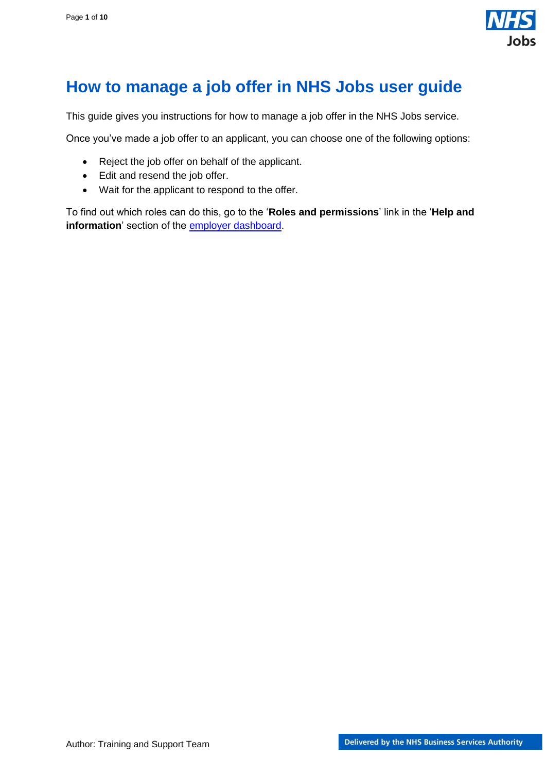

## <span id="page-0-0"></span>**How to manage a job offer in NHS Jobs user guide**

This guide gives you instructions for how to manage a job offer in the NHS Jobs service.

Once you've made a job offer to an applicant, you can choose one of the following options:

- Reject the job offer on behalf of the applicant.
- Edit and resend the job offer.
- Wait for the applicant to respond to the offer.

To find out which roles can do this, go to the '**Roles and permissions**' link in the '**Help and information**' section of the [employer dashboard.](https://beta.jobs.nhs.uk/home)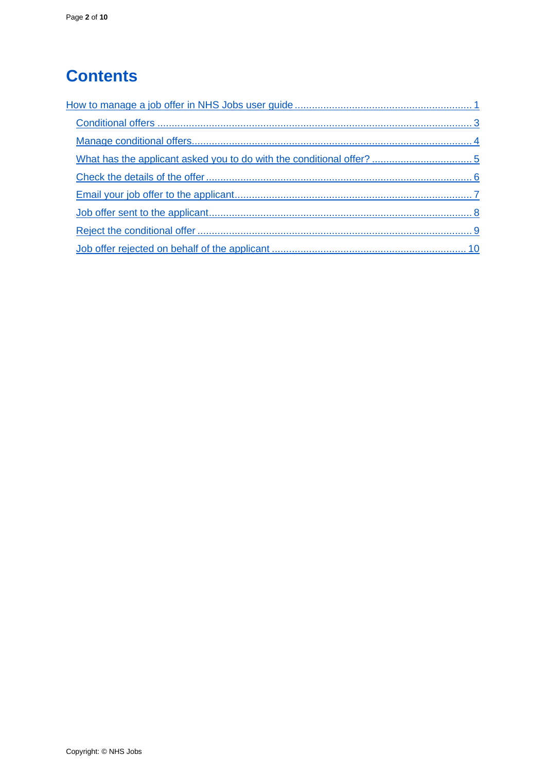# **Contents**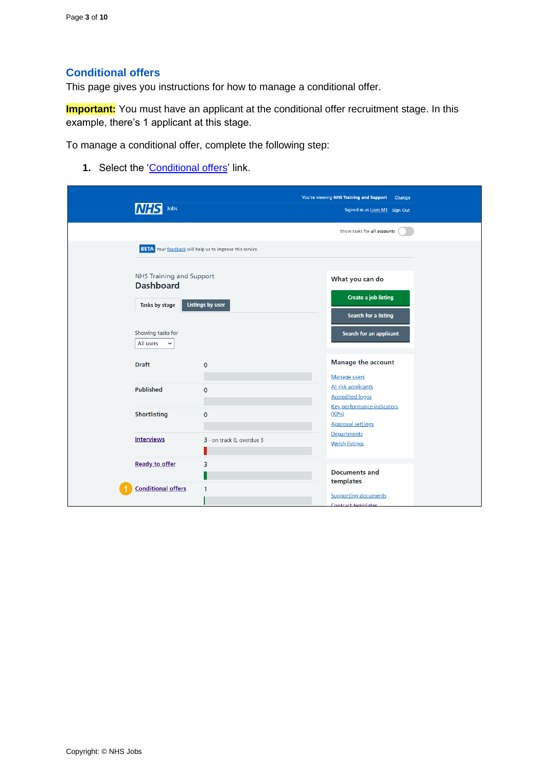#### <span id="page-2-0"></span>**Conditional offers**

This page gives you instructions for how to manage a conditional offer.

**Important:** You must have an applicant at the conditional offer recruitment stage. In this example, there's 1 applicant at this stage.

To manage a conditional offer, complete the following step:

1. Select the ['Conditional offers'](#page-3-0) link.

|                                                                |                                                                 | You're viewing NHS Training and Support<br>Change                                           |
|----------------------------------------------------------------|-----------------------------------------------------------------|---------------------------------------------------------------------------------------------|
| Jobs                                                           |                                                                 | Signed in as Liam M1 Sign Out                                                               |
|                                                                |                                                                 | Show tasks for all accounts                                                                 |
|                                                                | <b>BETA</b> Your feedback will help us to improve this service. |                                                                                             |
| NHS Training and Support<br><b>Dashboard</b><br>Tasks by stage | <b>Listings by user</b>                                         | What you can do<br><b>Create a job listing</b><br>Search for a listing                      |
| Showing tasks for<br>All users<br>$\checkmark$                 |                                                                 | Search for an applicant                                                                     |
| <b>Draft</b>                                                   | $\Omega$                                                        | <b>Manage the account</b>                                                                   |
| <b>Published</b>                                               | $\mathbf 0$                                                     | Manage users<br>At risk applicants<br><b>Accredited logos</b><br>Key performance indicators |
| <b>Shortlisting</b>                                            | $\mathbf 0$                                                     | (KPIs)<br><b>Approval settings</b>                                                          |
| <b>Interviews</b>                                              | 3 - on track 0, overdue 3                                       | Departments<br><b>Welsh listings</b>                                                        |
| <b>Ready to offer</b>                                          | 3                                                               | <b>Documents and</b><br>templates                                                           |
| <b>Conditional offers</b>                                      | 1                                                               | <b>Supporting documents</b><br>Contract templates                                           |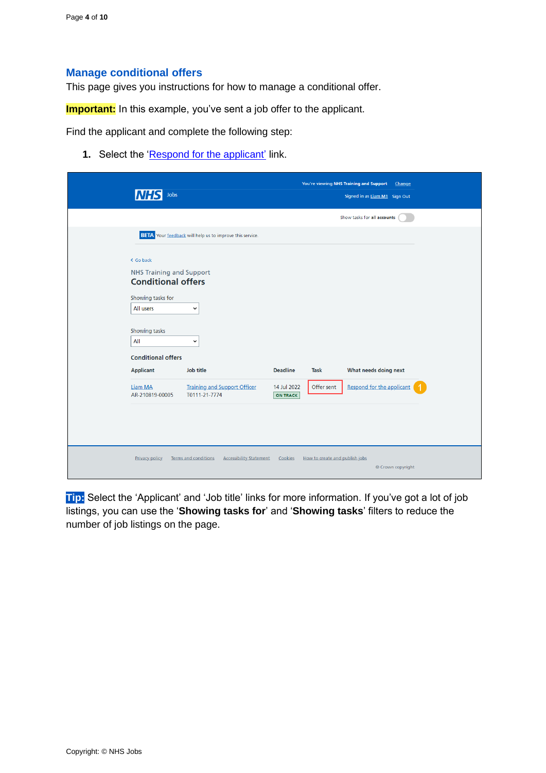#### <span id="page-3-0"></span>**Manage conditional offers**

This page gives you instructions for how to manage a conditional offer.

**Important:** In this example, you've sent a job offer to the applicant.

Find the applicant and complete the following step:

**1.** Select the ['Respond for the applicant'](#page-4-0) link.

|                                                                                                                                                                  |                                                                 |                                |                                | You're viewing NHS Training and Support<br>Change |  |
|------------------------------------------------------------------------------------------------------------------------------------------------------------------|-----------------------------------------------------------------|--------------------------------|--------------------------------|---------------------------------------------------|--|
| Jobs                                                                                                                                                             |                                                                 |                                |                                | Signed in as Liam M1 Sign Out                     |  |
|                                                                                                                                                                  |                                                                 |                                |                                | Show tasks for all accounts                       |  |
|                                                                                                                                                                  | <b>BETA</b> Your feedback will help us to improve this service. |                                |                                |                                                   |  |
| < Go back<br><b>NHS Training and Support</b><br><b>Conditional offers</b><br>Showing tasks for<br>All users<br>Showing tasks<br>All<br><b>Conditional offers</b> | $\check{ }$<br>$\check{ }$                                      |                                |                                |                                                   |  |
| <b>Applicant</b>                                                                                                                                                 | Job title                                                       | <b>Deadline</b>                | Task                           | What needs doing next                             |  |
| <b>Liam MA</b><br>AR-210819-00005                                                                                                                                | <b>Training and Support Officer</b><br>T0111-21-7774            | 14 Jul 2022<br><b>ON TRACK</b> | Offer sent                     | Respond for the applicant                         |  |
|                                                                                                                                                                  |                                                                 |                                |                                |                                                   |  |
| <b>Privacy policy</b>                                                                                                                                            | <b>Terms and conditions</b><br><b>Accessibility Statement</b>   | Cookies                        | How to create and publish jobs | © Crown copyright                                 |  |

**Tip:** Select the 'Applicant' and 'Job title' links for more information. If you've got a lot of job listings, you can use the '**Showing tasks for**' and '**Showing tasks**' filters to reduce the number of job listings on the page.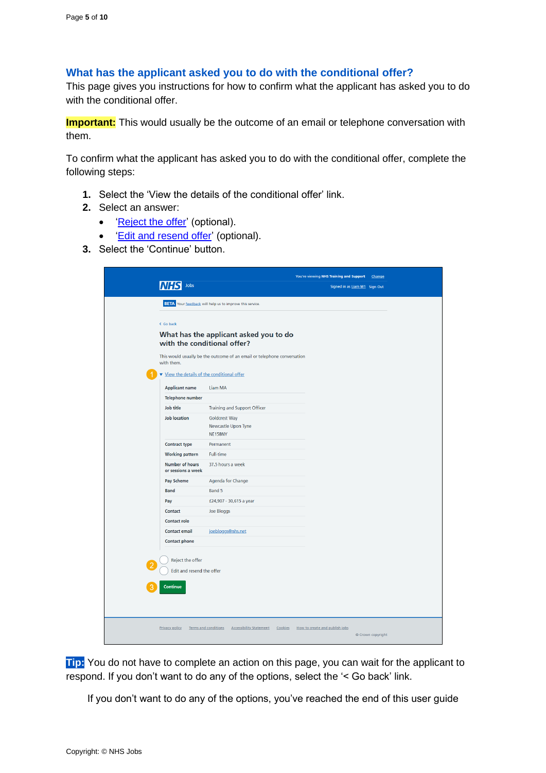#### <span id="page-4-0"></span>**What has the applicant asked you to do with the conditional offer?**

This page gives you instructions for how to confirm what the applicant has asked you to do with the conditional offer.

**Important:** This would usually be the outcome of an email or telephone conversation with them.

To confirm what the applicant has asked you to do with the conditional offer, complete the following steps:

- **1.** Select the 'View the details of the conditional offer' link.
- **2.** Select an answer:
	- ['Reject the offer'](#page-8-0) (optional).
	- **Edit and resend offer' (optional).**
- **3.** Select the 'Continue' button.

| Jobs                                                                                     |                                                                                                                                                  | You're viewing NHS Training and Support<br>Signed in as Liam M1 Sign Out | Change            |
|------------------------------------------------------------------------------------------|--------------------------------------------------------------------------------------------------------------------------------------------------|--------------------------------------------------------------------------|-------------------|
|                                                                                          | <b>BETA</b> Your feedback will help us to improve this service.                                                                                  |                                                                          |                   |
| < Go back                                                                                | What has the applicant asked you to do<br>with the conditional offer?<br>This would usually be the outcome of an email or telephone conversation |                                                                          |                   |
| with them.                                                                               |                                                                                                                                                  |                                                                          |                   |
| View the details of the conditional offer                                                |                                                                                                                                                  |                                                                          |                   |
| <b>Applicant name</b>                                                                    | Liam MA                                                                                                                                          |                                                                          |                   |
| <b>Telephone number</b>                                                                  |                                                                                                                                                  |                                                                          |                   |
| Job title<br><b>Job location</b>                                                         | <b>Training and Support Officer</b><br><b>Goldcrest Way</b>                                                                                      |                                                                          |                   |
|                                                                                          | Newcastle Upon Tyne<br>NE158NY                                                                                                                   |                                                                          |                   |
| <b>Contract type</b>                                                                     | Permanent                                                                                                                                        |                                                                          |                   |
| <b>Working pattern</b>                                                                   | <b>Full-time</b>                                                                                                                                 |                                                                          |                   |
| <b>Number of hours</b><br>or sessions a week                                             | 37.5 hours a week                                                                                                                                |                                                                          |                   |
| Pay Scheme                                                                               | Agenda for Change                                                                                                                                |                                                                          |                   |
| <b>Band</b>                                                                              | Band 5                                                                                                                                           |                                                                          |                   |
| Pay                                                                                      | £24,907 - 30,615 a year                                                                                                                          |                                                                          |                   |
| Contact                                                                                  | Joe Bloggs                                                                                                                                       |                                                                          |                   |
| <b>Contact role</b>                                                                      |                                                                                                                                                  |                                                                          |                   |
| <b>Contact email</b>                                                                     | joebloggs@nhs.net                                                                                                                                |                                                                          |                   |
| <b>Contact phone</b><br>Reject the offer<br>Edit and resend the offer<br><b>Continue</b> |                                                                                                                                                  |                                                                          |                   |
| <b>Privacy policy</b>                                                                    | Terms and conditions<br><b>Accessibility Statement</b><br>Cookies                                                                                | How to create and publish jobs                                           | © Crown copyright |

**Tip:** You do not have to complete an action on this page, you can wait for the applicant to respond. If you don't want to do any of the options, select the '< Go back' link.

If you don't want to do any of the options, you've reached the end of this user guide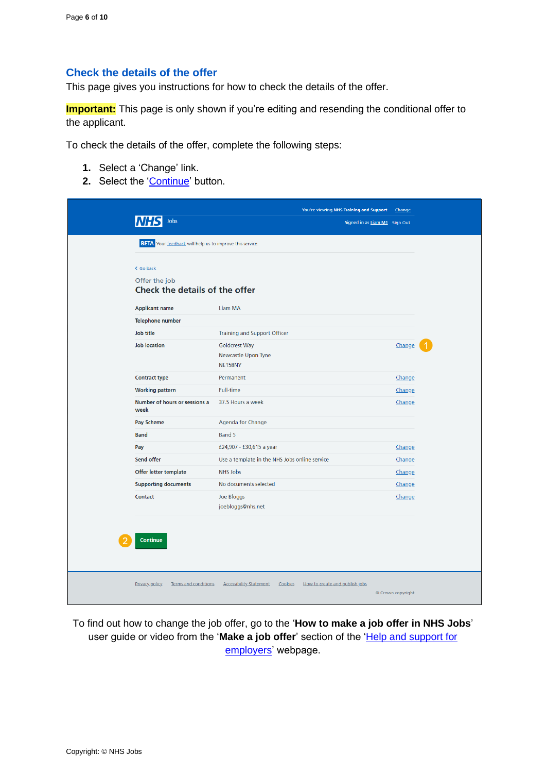#### <span id="page-5-0"></span>**Check the details of the offer**

This page gives you instructions for how to check the details of the offer.

**Important:** This page is only shown if you're editing and resending the conditional offer to the applicant.

To check the details of the offer, complete the following steps:

- **1.** Select a 'Change' link.
- 2. Select the ['Continue'](#page-6-0) button.

| <b>BETA</b> Your feedback will help us to improve this service.<br>< Go back<br>Offer the job<br>Check the details of the offer<br><b>Applicant name</b><br>Liam MA<br><b>Telephone number</b><br>Job title<br>Training and Support Officer<br><b>Job location</b><br><b>Goldcrest Way</b><br>Change<br>Newcastle Upon Tyne<br><b>NE158NY</b><br>Permanent<br><b>Contract type</b><br>Change<br><b>Full-time</b><br><b>Working pattern</b><br>Change<br>Number of hours or sessions a<br>37.5 Hours a week<br>Change<br>week<br>Pay Scheme<br>Agenda for Change<br><b>Band</b><br>Band 5<br>Pay<br>£24,907 - £30,615 a year<br>Change<br>Send offer<br>Use a template in the NHS Jobs online service<br>Change<br>Offer letter template<br><b>NHS Jobs</b><br>Change<br>No documents selected<br><b>Supporting documents</b><br>Change<br>Contact<br>Joe Bloggs<br>Change<br>joebloggs@nhs.net<br><b>Continue</b> | Jobs | Signed in as Liam M1 Sign Out |  |
|-------------------------------------------------------------------------------------------------------------------------------------------------------------------------------------------------------------------------------------------------------------------------------------------------------------------------------------------------------------------------------------------------------------------------------------------------------------------------------------------------------------------------------------------------------------------------------------------------------------------------------------------------------------------------------------------------------------------------------------------------------------------------------------------------------------------------------------------------------------------------------------------------------------------|------|-------------------------------|--|
|                                                                                                                                                                                                                                                                                                                                                                                                                                                                                                                                                                                                                                                                                                                                                                                                                                                                                                                   |      |                               |  |
|                                                                                                                                                                                                                                                                                                                                                                                                                                                                                                                                                                                                                                                                                                                                                                                                                                                                                                                   |      |                               |  |
|                                                                                                                                                                                                                                                                                                                                                                                                                                                                                                                                                                                                                                                                                                                                                                                                                                                                                                                   |      |                               |  |
|                                                                                                                                                                                                                                                                                                                                                                                                                                                                                                                                                                                                                                                                                                                                                                                                                                                                                                                   |      |                               |  |
|                                                                                                                                                                                                                                                                                                                                                                                                                                                                                                                                                                                                                                                                                                                                                                                                                                                                                                                   |      |                               |  |
|                                                                                                                                                                                                                                                                                                                                                                                                                                                                                                                                                                                                                                                                                                                                                                                                                                                                                                                   |      |                               |  |
|                                                                                                                                                                                                                                                                                                                                                                                                                                                                                                                                                                                                                                                                                                                                                                                                                                                                                                                   |      |                               |  |
|                                                                                                                                                                                                                                                                                                                                                                                                                                                                                                                                                                                                                                                                                                                                                                                                                                                                                                                   |      |                               |  |
|                                                                                                                                                                                                                                                                                                                                                                                                                                                                                                                                                                                                                                                                                                                                                                                                                                                                                                                   |      |                               |  |
|                                                                                                                                                                                                                                                                                                                                                                                                                                                                                                                                                                                                                                                                                                                                                                                                                                                                                                                   |      |                               |  |
|                                                                                                                                                                                                                                                                                                                                                                                                                                                                                                                                                                                                                                                                                                                                                                                                                                                                                                                   |      |                               |  |
|                                                                                                                                                                                                                                                                                                                                                                                                                                                                                                                                                                                                                                                                                                                                                                                                                                                                                                                   |      |                               |  |
|                                                                                                                                                                                                                                                                                                                                                                                                                                                                                                                                                                                                                                                                                                                                                                                                                                                                                                                   |      |                               |  |
|                                                                                                                                                                                                                                                                                                                                                                                                                                                                                                                                                                                                                                                                                                                                                                                                                                                                                                                   |      |                               |  |
|                                                                                                                                                                                                                                                                                                                                                                                                                                                                                                                                                                                                                                                                                                                                                                                                                                                                                                                   |      |                               |  |
|                                                                                                                                                                                                                                                                                                                                                                                                                                                                                                                                                                                                                                                                                                                                                                                                                                                                                                                   |      |                               |  |
|                                                                                                                                                                                                                                                                                                                                                                                                                                                                                                                                                                                                                                                                                                                                                                                                                                                                                                                   |      |                               |  |
|                                                                                                                                                                                                                                                                                                                                                                                                                                                                                                                                                                                                                                                                                                                                                                                                                                                                                                                   |      |                               |  |

To find out how to change the job offer, go to the '**How to make a job offer in NHS Jobs**' user guide or video from the 'Make a job offer' section of the 'Help and support for [employers'](https://www.nhsbsa.nhs.uk/new-nhs-jobs-service/help-and-support-employers) webpage.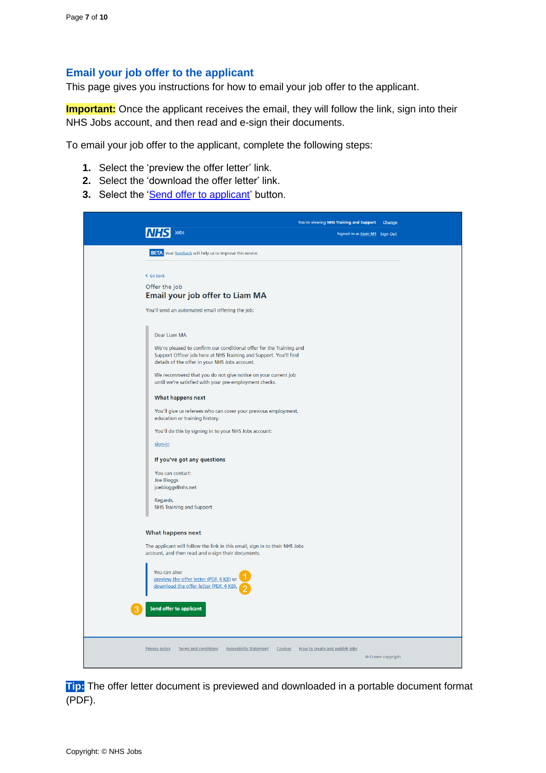#### <span id="page-6-0"></span>**Email your job offer to the applicant**

This page gives you instructions for how to email your job offer to the applicant.

**Important:** Once the applicant receives the email, they will follow the link, sign into their NHS Jobs account, and then read and e-sign their documents.

To email your job offer to the applicant, complete the following steps:

- **1.** Select the 'preview the offer letter' link.
- **2.** Select the 'download the offer letter' link.
- **3.** Select the ['Send offer to applicant'](#page-7-0) button.

|                                                                                                                     | You're viewing NHS Training and Support Change |
|---------------------------------------------------------------------------------------------------------------------|------------------------------------------------|
| Jobs                                                                                                                | Signed in as Liam M1 Sign Out                  |
| <b>BETA</b> Your feedback will help us to improve this service.                                                     |                                                |
| < Go back                                                                                                           |                                                |
| Offer the job                                                                                                       |                                                |
| Email your job offer to Liam MA                                                                                     |                                                |
| You'll send an automated email offering the job:                                                                    |                                                |
|                                                                                                                     |                                                |
| Dear Liam MA<br>We're pleased to confirm our conditional offer for the Training and                                 |                                                |
| Support Officer job here at NHS Training and Support. You'll find<br>details of the offer in your NHS Jobs account. |                                                |
| We recommend that you do not give notice on your current job                                                        |                                                |
| until we're satisfied with your pre-employment checks.                                                              |                                                |
| What happens next                                                                                                   |                                                |
| You'll give us referees who can cover your previous employment,<br>education or training history.                   |                                                |
| You'll do this by signing in to your NHS Jobs account:                                                              |                                                |
| sign-in                                                                                                             |                                                |
| If you've got any questions                                                                                         |                                                |
| You can contact:                                                                                                    |                                                |
| Joe Bloggs<br>joebloggs@nhs.net                                                                                     |                                                |
| Regards,                                                                                                            |                                                |
| <b>NHS Training and Support</b>                                                                                     |                                                |
| What happens next                                                                                                   |                                                |
| The applicant will follow the link in this email, sign in to their NHS Jobs                                         |                                                |
| account, and then read and e-sign their documents.                                                                  |                                                |
| You can also:                                                                                                       |                                                |
| preview the offer letter (PDF, 4 KB) or<br>download the offer letter (PDF, 4 KB)                                    |                                                |
|                                                                                                                     |                                                |
| Send offer to applicant                                                                                             |                                                |
|                                                                                                                     |                                                |
|                                                                                                                     |                                                |
| Terms and conditions Accessibility Statement Cookies How to create and publish jobs<br><b>Privacy policy</b>        | © Crown copyright                              |
|                                                                                                                     |                                                |

**Tip:** The offer letter document is previewed and downloaded in a portable document format (PDF).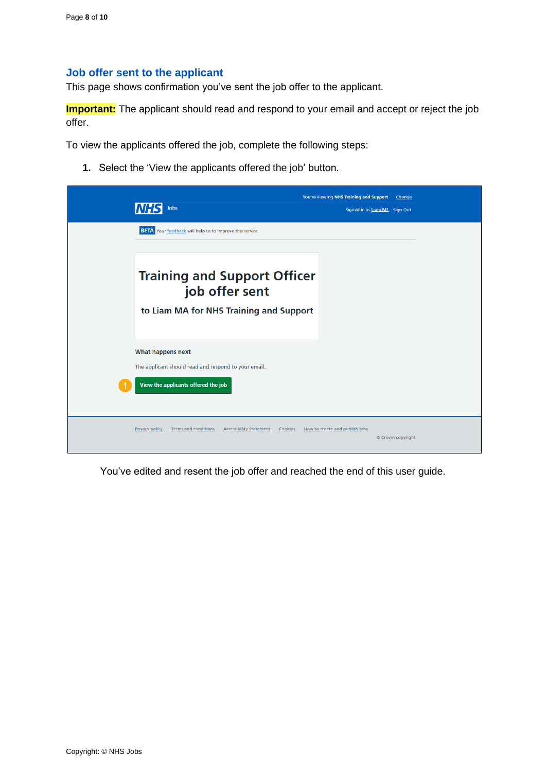#### <span id="page-7-0"></span>**Job offer sent to the applicant**

This page shows confirmation you've sent the job offer to the applicant.

**Important:** The applicant should read and respond to your email and accept or reject the job offer.

To view the applicants offered the job, complete the following steps:

**1.** Select the 'View the applicants offered the job' button.

|                                                                          | You're viewing NHS Training and Support<br>Change           |
|--------------------------------------------------------------------------|-------------------------------------------------------------|
| Jobs<br>INH S                                                            | Signed in as Liam M1 Sign Out                               |
| <b>BETA</b> Your feedback will help us to improve this service.          |                                                             |
|                                                                          |                                                             |
| <b>Training and Support Officer</b><br>job offer sent                    |                                                             |
| to Liam MA for NHS Training and Support                                  |                                                             |
| What happens next                                                        |                                                             |
| The applicant should read and respond to your email.                     |                                                             |
| View the applicants offered the job                                      |                                                             |
| Terms and conditions<br><b>Accessibility Statement</b><br>Privacy policy | Cookies How to create and publish jobs<br>© Crown copyright |

You've edited and resent the job offer and reached the end of this user guide.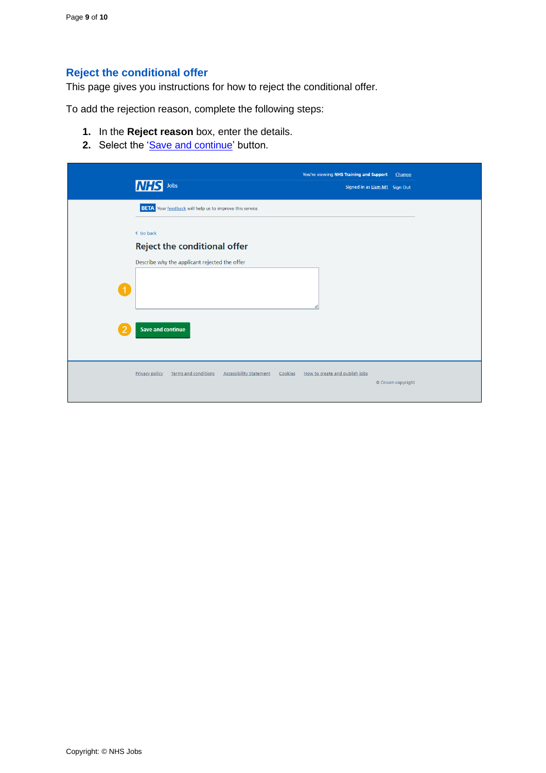### <span id="page-8-0"></span>**Reject the conditional offer**

This page gives you instructions for how to reject the conditional offer.

To add the rejection reason, complete the following steps:

- **1.** In the **Reject reason** box, enter the details.
- 2. Select the ['Save and continue'](#page-9-0) button.

|   | <b>NHS</b><br>${\sf Jobs}$                                               | You're viewing NHS Training and Support | Change<br>Signed in as Liam M1 Sign Out |  |
|---|--------------------------------------------------------------------------|-----------------------------------------|-----------------------------------------|--|
|   | <b>BETA</b> Your feedback will help us to improve this service.          |                                         |                                         |  |
|   | < Go back<br><b>Reject the conditional offer</b>                         |                                         |                                         |  |
|   | Describe why the applicant rejected the offer                            |                                         |                                         |  |
|   |                                                                          | ı                                       |                                         |  |
| 2 | <b>Save and continue</b>                                                 |                                         |                                         |  |
|   | Terms and conditions<br>Privacy policy<br><b>Accessibility Statement</b> | Cookies How to create and publish jobs  | © Crown copyright                       |  |